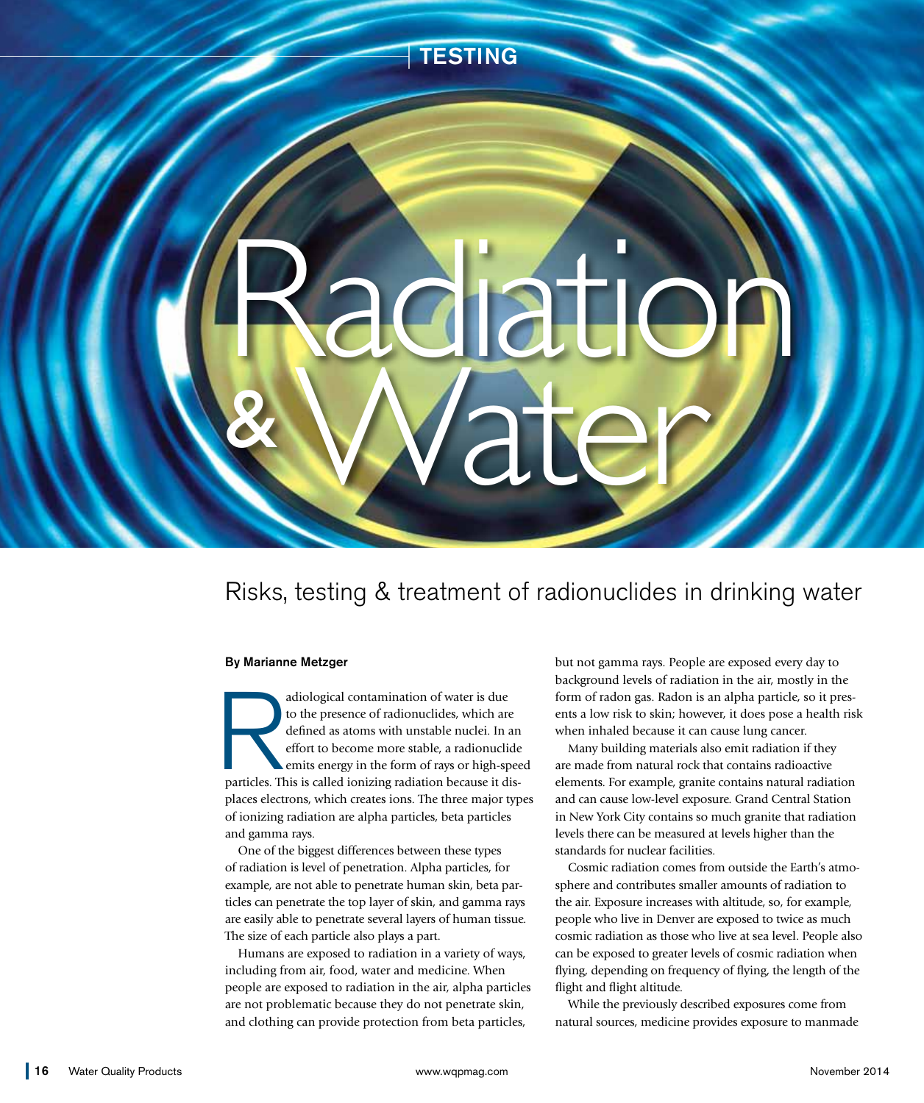

## Risks, testing & treatment of radionuclides in drinking water

#### By Marianne Metzger

adiological contamination of water is due<br>to the presence of radionuclides, which are<br>defined as atoms with unstable nuclei. In an<br>effort to become more stable, a radionuclide<br>emits energy in the form of rays or high-spee<br> to the presence of radionuclides, which are defined as atoms with unstable nuclei. In an effort to become more stable, a radionuclide emits energy in the form of rays or high-speed places electrons, which creates ions. The three major types of ionizing radiation are alpha particles, beta particles and gamma rays.

One of the biggest differences between these types of radiation is level of penetration. Alpha particles, for example, are not able to penetrate human skin, beta particles can penetrate the top layer of skin, and gamma rays are easily able to penetrate several layers of human tissue. The size of each particle also plays a part.

Humans are exposed to radiation in a variety of ways, including from air, food, water and medicine. When people are exposed to radiation in the air, alpha particles are not problematic because they do not penetrate skin, and clothing can provide protection from beta particles,

but not gamma rays. People are exposed every day to background levels of radiation in the air, mostly in the form of radon gas. Radon is an alpha particle, so it presents a low risk to skin; however, it does pose a health risk when inhaled because it can cause lung cancer.

Many building materials also emit radiation if they are made from natural rock that contains radioactive elements. For example, granite contains natural radiation and can cause low-level exposure. Grand Central Station in New York City contains so much granite that radiation levels there can be measured at levels higher than the standards for nuclear facilities.

Cosmic radiation comes from outside the Earth's atmosphere and contributes smaller amounts of radiation to the air. Exposure increases with altitude, so, for example, people who live in Denver are exposed to twice as much cosmic radiation as those who live at sea level. People also can be exposed to greater levels of cosmic radiation when flying, depending on frequency of flying, the length of the flight and flight altitude.

While the previously described exposures come from natural sources, medicine provides exposure to manmade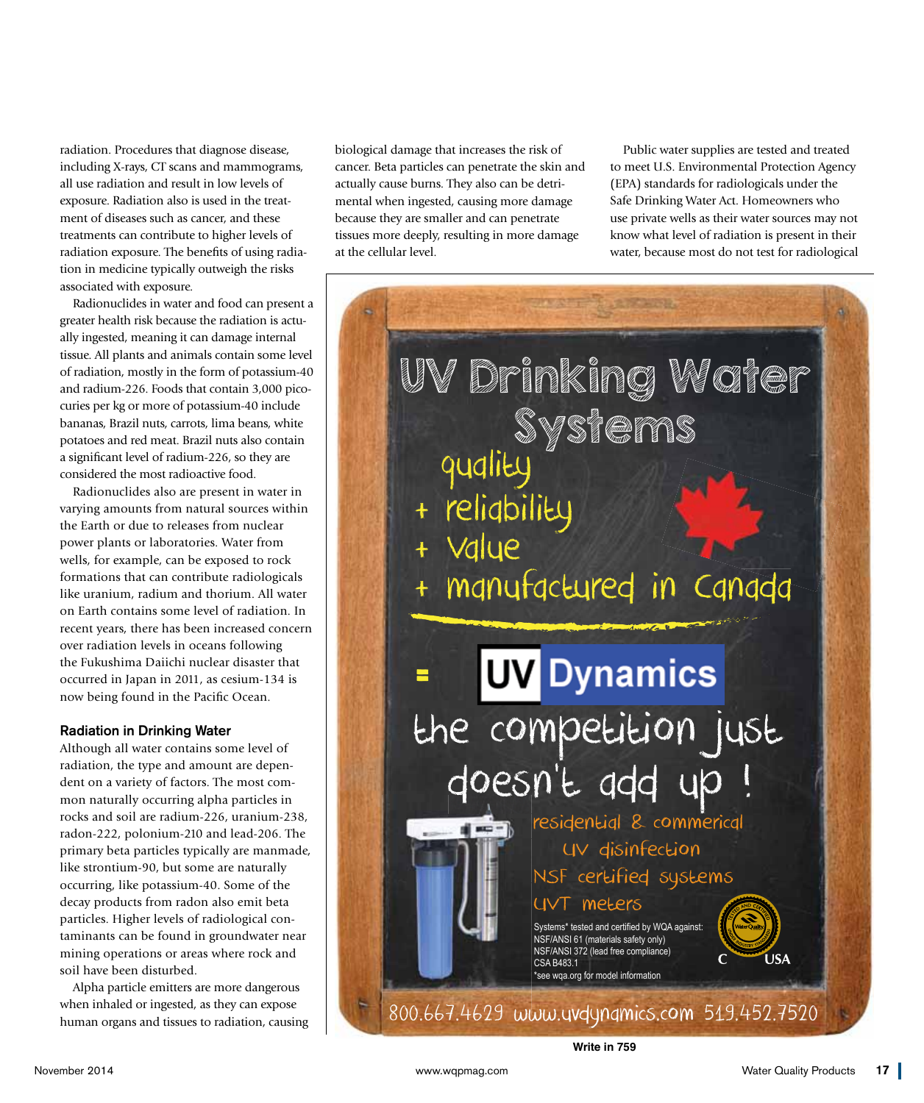radiation. Procedures that diagnose disease, including X-rays, CT scans and mammograms, all use radiation and result in low levels of exposure. Radiation also is used in the treatment of diseases such as cancer, and these treatments can contribute to higher levels of radiation exposure. The benefits of using radiation in medicine typically outweigh the risks associated with exposure.

Radionuclides in water and food can present a greater health risk because the radiation is actually ingested, meaning it can damage internal tissue. All plants and animals contain some level of radiation, mostly in the form of potassium-40 and radium-226. Foods that contain 3,000 picocuries per kg or more of potassium-40 include bananas, Brazil nuts, carrots, lima beans, white potatoes and red meat. Brazil nuts also contain a significant level of radium-226, so they are considered the most radioactive food.

Radionuclides also are present in water in varying amounts from natural sources within the Earth or due to releases from nuclear power plants or laboratories. Water from wells, for example, can be exposed to rock formations that can contribute radiologicals like uranium, radium and thorium. All water on Earth contains some level of radiation. In recent years, there has been increased concern over radiation levels in oceans following the Fukushima Daiichi nuclear disaster that occurred in Japan in 2011, as cesium-134 is now being found in the Pacific Ocean.

#### Radiation in Drinking Water

Although all water contains some level of radiation, the type and amount are dependent on a variety of factors. The most common naturally occurring alpha particles in rocks and soil are radium-226, uranium-238, radon-222, polonium-210 and lead-206. The primary beta particles typically are manmade, like strontium-90, but some are naturally occurring, like potassium-40. Some of the decay products from radon also emit beta particles. Higher levels of radiological contaminants can be found in groundwater near mining operations or areas where rock and soil have been disturbed.

Alpha particle emitters are more dangerous when inhaled or ingested, as they can expose human organs and tissues to radiation, causing biological damage that increases the risk of cancer. Beta particles can penetrate the skin and actually cause burns. They also can be detrimental when ingested, causing more damage because they are smaller and can penetrate tissues more deeply, resulting in more damage at the cellular level.

Public water supplies are tested and treated to meet U.S. Environmental Protection Agency (EPA) standards for radiologicals under the Safe Drinking Water Act. Homeowners who use private wells as their water sources may not know what level of radiation is present in their water, because most do not test for radiological



**Write in 759**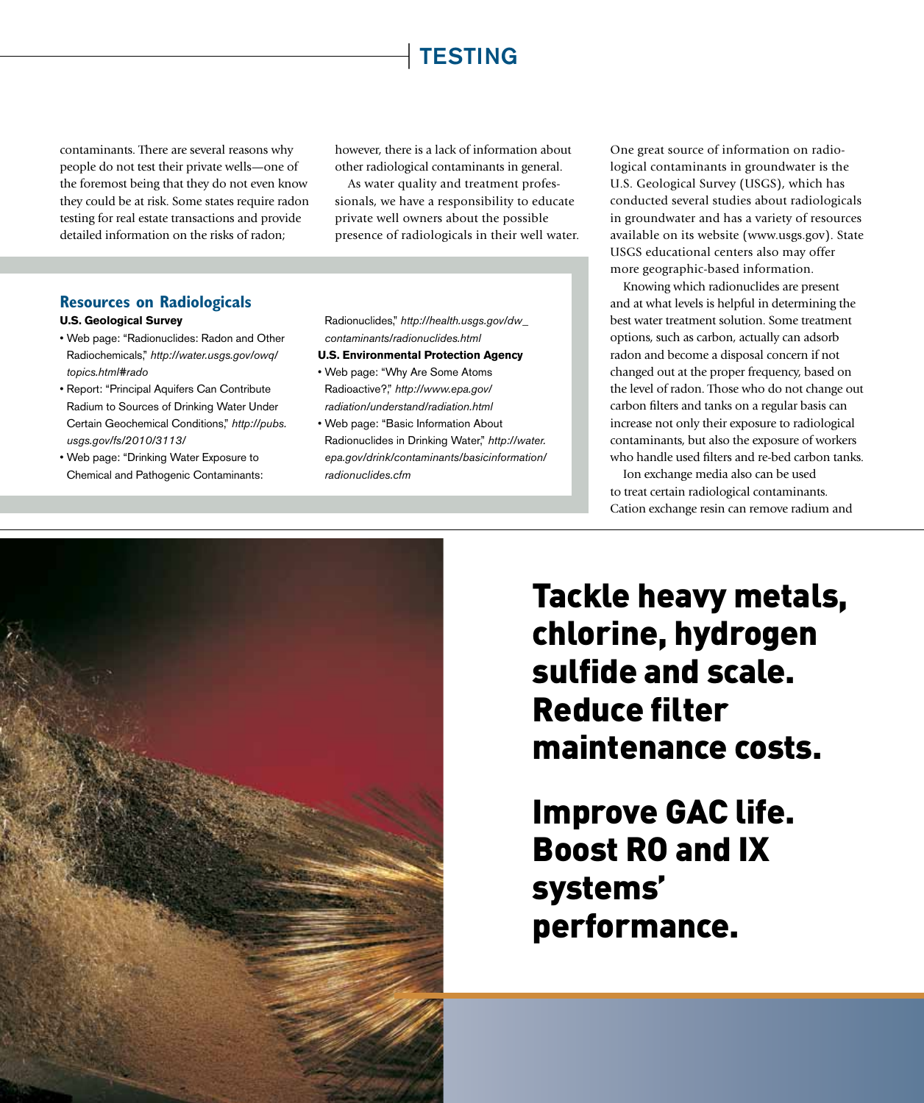## **TESTING**

contaminants. There are several reasons why people do not test their private wells—one of the foremost being that they do not even know they could be at risk. Some states require radon testing for real estate transactions and provide detailed information on the risks of radon;

however, there is a lack of information about other radiological contaminants in general.

As water quality and treatment professionals, we have a responsibility to educate private well owners about the possible presence of radiologicals in their well water.

### **Resources on Radiologicals**

#### **U.S. Geological Survey**

- Web page: "Radionuclides: Radon and Other Radiochemicals," *http://water.usgs.gov/owq/ topics.html#rado*
- Report: "Principal Aquifers Can Contribute Radium to Sources of Drinking Water Under Certain Geochemical Conditions," *http://pubs. usgs.gov/fs/2010/3113/*
- Web page: "Drinking Water Exposure to Chemical and Pathogenic Contaminants:

Radionuclides," *http://health.usgs.gov/dw\_ contaminants/radionuclides.html*

#### **U.S. Environmental Protection Agency**

- Web page: "Why Are Some Atoms Radioactive?," *http://www.epa.gov/ radiation/understand/radiation.html*
- Web page: "Basic Information About Radionuclides in Drinking Water," *http://water. epa.gov/drink/contaminants/basicinformation/ radionuclides.cfm*

One great source of information on radiological contaminants in groundwater is the U.S. Geological Survey (USGS), which has conducted several studies about radiologicals in groundwater and has a variety of resources available on its website (www.usgs.gov). State USGS educational centers also may offer more geographic-based information.

Knowing which radionuclides are present and at what levels is helpful in determining the best water treatment solution. Some treatment options, such as carbon, actually can adsorb radon and become a disposal concern if not changed out at the proper frequency, based on the level of radon. Those who do not change out carbon filters and tanks on a regular basis can increase not only their exposure to radiological contaminants, but also the exposure of workers who handle used filters and re-bed carbon tanks.

Ion exchange media also can be used to treat certain radiological contaminants. Cation exchange resin can remove radium and

Tackle heavy metals, chlorine, hydrogen sulfide and scale. Reduce filter maintenance costs.

Improve GAC life. Boost RO and IX systems' performance.